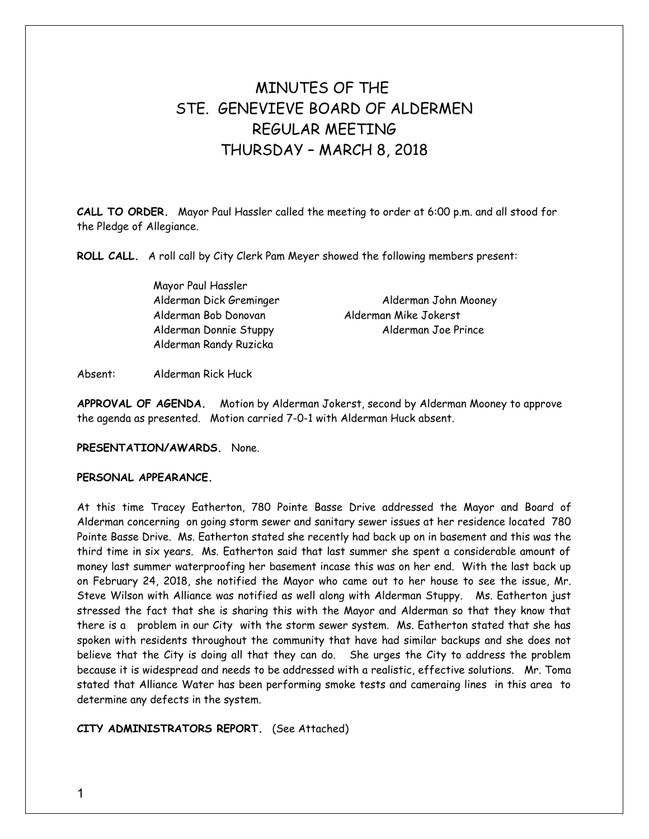# MINUTES OF THE STE. GENEVIEVE BOARD OF ALDERMEN REGULAR MEETING THURSDAY – MARCH 8, 2018

**CALL TO ORDER.** Mayor Paul Hassler called the meeting to order at 6:00 p.m. and all stood for the Pledge of Allegiance.

**ROLL CALL.** A roll call by City Clerk Pam Meyer showed the following members present:

Mayor Paul Hassler Alderman Bob Donovan Alderman Mike Jokerst Alderman Randy Ruzicka

Alderman Dick Greminger Alderman John Mooney Alderman Donnie Stuppy Alderman Joe Prince

Absent: Alderman Rick Huck

**APPROVAL OF AGENDA.** Motion by Alderman Jokerst, second by Alderman Mooney to approve the agenda as presented. Motion carried 7-0-1 with Alderman Huck absent.

**PRESENTATION/AWARDS.** None.

# **PERSONAL APPEARANCE.**

At this time Tracey Eatherton, 780 Pointe Basse Drive addressed the Mayor and Board of Alderman concerning on going storm sewer and sanitary sewer issues at her residence located 780 Pointe Basse Drive. Ms. Eatherton stated she recently had back up on in basement and this was the third time in six years. Ms. Eatherton said that last summer she spent a considerable amount of money last summer waterproofing her basement incase this was on her end. With the last back up on February 24, 2018, she notified the Mayor who came out to her house to see the issue, Mr. Steve Wilson with Alliance was notified as well along with Alderman Stuppy. Ms. Eatherton just stressed the fact that she is sharing this with the Mayor and Alderman so that they know that there is a problem in our City with the storm sewer system. Ms. Eatherton stated that she has spoken with residents throughout the community that have had similar backups and she does not believe that the City is doing all that they can do. She urges the City to address the problem because it is widespread and needs to be addressed with a realistic, effective solutions. Mr. Toma stated that Alliance Water has been performing smoke tests and cameraing lines in this area to determine any defects in the system.

**CITY ADMINISTRATORS REPORT.** (See Attached)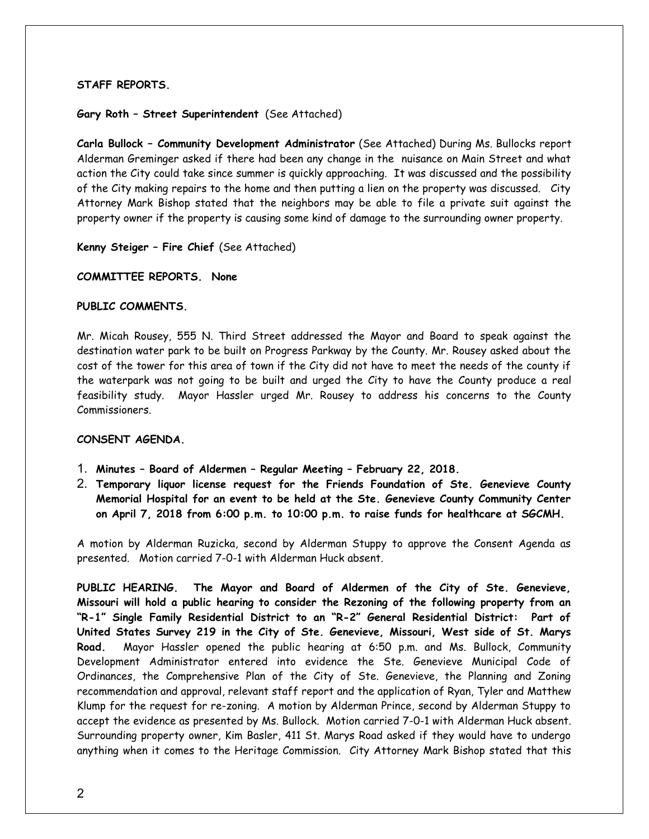## **STAFF REPORTS.**

## **Gary Roth – Street Superintendent** (See Attached)

**Carla Bullock – Community Development Administrator** (See Attached) During Ms. Bullocks report Alderman Greminger asked if there had been any change in the nuisance on Main Street and what action the City could take since summer is quickly approaching. It was discussed and the possibility of the City making repairs to the home and then putting a lien on the property was discussed. City Attorney Mark Bishop stated that the neighbors may be able to file a private suit against the property owner if the property is causing some kind of damage to the surrounding owner property.

**Kenny Steiger – Fire Chief** (See Attached)

#### **COMMITTEE REPORTS. None**

## **PUBLIC COMMENTS.**

Mr. Micah Rousey, 555 N. Third Street addressed the Mayor and Board to speak against the destination water park to be built on Progress Parkway by the County. Mr. Rousey asked about the cost of the tower for this area of town if the City did not have to meet the needs of the county if the waterpark was not going to be built and urged the City to have the County produce a real feasibility study. Mayor Hassler urged Mr. Rousey to address his concerns to the County Commissioners.

## **CONSENT AGENDA.**

- 1. **Minutes Board of Aldermen Regular Meeting February 22, 2018.**
- 2. **Temporary liquor license request for the Friends Foundation of Ste. Genevieve County Memorial Hospital for an event to be held at the Ste. Genevieve County Community Center on April 7, 2018 from 6:00 p.m. to 10:00 p.m. to raise funds for healthcare at SGCMH.**

A motion by Alderman Ruzicka, second by Alderman Stuppy to approve the Consent Agenda as presented. Motion carried 7-0-1 with Alderman Huck absent.

**PUBLIC HEARING. The Mayor and Board of Aldermen of the City of Ste. Genevieve, Missouri will hold a public hearing to consider the Rezoning of the following property from an "R-1" Single Family Residential District to an "R-2" General Residential District: Part of United States Survey 219 in the City of Ste. Genevieve, Missouri, West side of St. Marys Road.** Mayor Hassler opened the public hearing at 6:50 p.m. and Ms. Bullock, Community Development Administrator entered into evidence the Ste. Genevieve Municipal Code of Ordinances, the Comprehensive Plan of the City of Ste. Genevieve, the Planning and Zoning recommendation and approval, relevant staff report and the application of Ryan, Tyler and Matthew Klump for the request for re-zoning. A motion by Alderman Prince, second by Alderman Stuppy to accept the evidence as presented by Ms. Bullock. Motion carried 7-0-1 with Alderman Huck absent. Surrounding property owner, Kim Basler, 411 St. Marys Road asked if they would have to undergo anything when it comes to the Heritage Commission. City Attorney Mark Bishop stated that this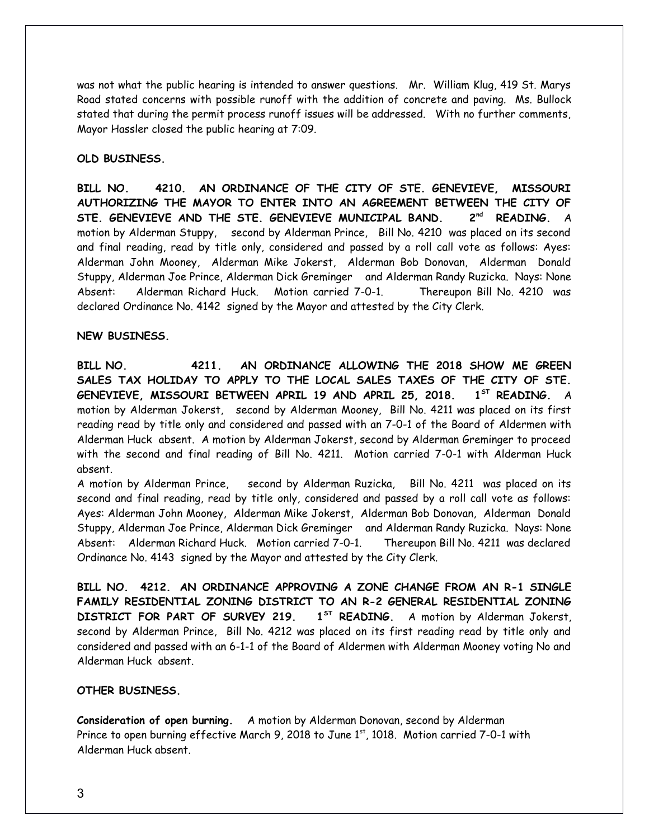was not what the public hearing is intended to answer questions. Mr. William Klug, 419 St. Marys Road stated concerns with possible runoff with the addition of concrete and paving. Ms. Bullock stated that during the permit process runoff issues will be addressed. With no further comments, Mayor Hassler closed the public hearing at 7:09.

## **OLD BUSINESS.**

**BILL NO. 4210. AN ORDINANCE OF THE CITY OF STE. GENEVIEVE, MISSOURI AUTHORIZING THE MAYOR TO ENTER INTO AN AGREEMENT BETWEEN THE CITY OF STE. GENEVIEVE AND THE STE. GENEVIEVE MUNICIPAL BAND. 2nd READING.** A motion by Alderman Stuppy, second by Alderman Prince, Bill No. 4210 was placed on its second and final reading, read by title only, considered and passed by a roll call vote as follows: Ayes: Alderman John Mooney, Alderman Mike Jokerst, Alderman Bob Donovan, Alderman Donald Stuppy, Alderman Joe Prince, Alderman Dick Greminger and Alderman Randy Ruzicka. Nays: None Absent: Alderman Richard Huck. Motion carried 7-0-1. Thereupon Bill No. 4210 was declared Ordinance No. 4142 signed by the Mayor and attested by the City Clerk.

#### **NEW BUSINESS.**

**BILL NO. 4211. AN ORDINANCE ALLOWING THE 2018 SHOW ME GREEN SALES TAX HOLIDAY TO APPLY TO THE LOCAL SALES TAXES OF THE CITY OF STE. GENEVIEVE, MISSOURI BETWEEN APRIL 19 AND APRIL 25, 2018. 1ST READING.** A motion by Alderman Jokerst, second by Alderman Mooney, Bill No. 4211 was placed on its first reading read by title only and considered and passed with an 7-0-1 of the Board of Aldermen with Alderman Huck absent. A motion by Alderman Jokerst, second by Alderman Greminger to proceed with the second and final reading of Bill No. 4211. Motion carried 7-0-1 with Alderman Huck absent.

A motion by Alderman Prince, second by Alderman Ruzicka, Bill No. 4211 was placed on its second and final reading, read by title only, considered and passed by a roll call vote as follows: Ayes: Alderman John Mooney, Alderman Mike Jokerst, Alderman Bob Donovan, Alderman Donald Stuppy, Alderman Joe Prince, Alderman Dick Greminger and Alderman Randy Ruzicka. Nays: None Absent: Alderman Richard Huck. Motion carried 7-0-1. Thereupon Bill No. 4211 was declared Ordinance No. 4143 signed by the Mayor and attested by the City Clerk.

**BILL NO. 4212. AN ORDINANCE APPROVING A ZONE CHANGE FROM AN R-1 SINGLE FAMILY RESIDENTIAL ZONING DISTRICT TO AN R-2 GENERAL RESIDENTIAL ZONING DISTRICT FOR PART OF SURVEY 219. 1ST READING.** A motion by Alderman Jokerst, second by Alderman Prince, Bill No. 4212 was placed on its first reading read by title only and considered and passed with an 6-1-1 of the Board of Aldermen with Alderman Mooney voting No and Alderman Huck absent.

#### **OTHER BUSINESS.**

**Consideration of open burning.** A motion by Alderman Donovan, second by Alderman Prince to open burning effective March 9, 2018 to June  $1<sup>st</sup>$ , 1018. Motion carried 7-0-1 with Alderman Huck absent.